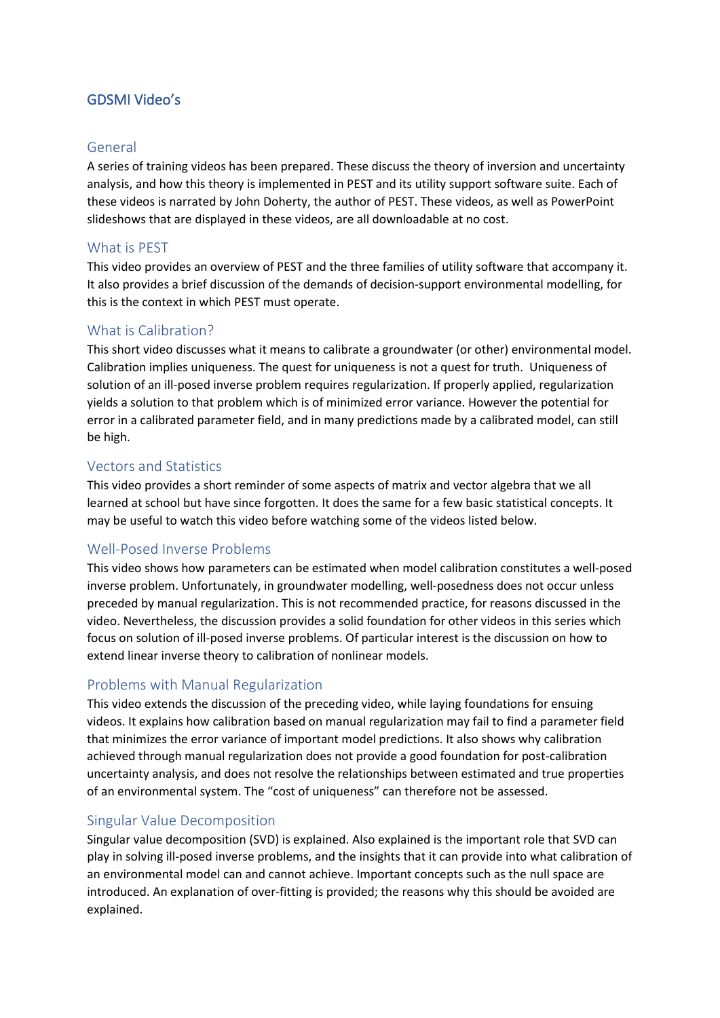# GDSMI Video's

### General

A series of training videos has been prepared. These discuss the theory of inversion and uncertainty analysis, and how this theory is implemented in PEST and its utility support software suite. Each of these videos is narrated by John Doherty, the author of PEST. These videos, as well as PowerPoint slideshows that are displayed in these videos, are all downloadable at no cost.

## What is PEST

This video provides an overview of PEST and the three families of utility software that accompany it. It also provides a brief discussion of the demands of decision-support environmental modelling, for this is the context in which PEST must operate.

#### What is Calibration?

This short video discusses what it means to calibrate a groundwater (or other) environmental model. Calibration implies uniqueness. The quest for uniqueness is not a quest for truth. Uniqueness of solution of an ill-posed inverse problem requires regularization. If properly applied, regularization yields a solution to that problem which is of minimized error variance. However the potential for error in a calibrated parameter field, and in many predictions made by a calibrated model, can still be high.

#### Vectors and Statistics

This video provides a short reminder of some aspects of matrix and vector algebra that we all learned at school but have since forgotten. It does the same for a few basic statistical concepts. It may be useful to watch this video before watching some of the videos listed below.

## Well-Posed Inverse Problems

This video shows how parameters can be estimated when model calibration constitutes a well-posed inverse problem. Unfortunately, in groundwater modelling, well-posedness does not occur unless preceded by manual regularization. This is not recommended practice, for reasons discussed in the video. Nevertheless, the discussion provides a solid foundation for other videos in this series which focus on solution of ill-posed inverse problems. Of particular interest is the discussion on how to extend linear inverse theory to calibration of nonlinear models.

#### Problems with Manual Regularization

This video extends the discussion of the preceding video, while laying foundations for ensuing videos. It explains how calibration based on manual regularization may fail to find a parameter field that minimizes the error variance of important model predictions. It also shows why calibration achieved through manual regularization does not provide a good foundation for post-calibration uncertainty analysis, and does not resolve the relationships between estimated and true properties of an environmental system. The "cost of uniqueness" can therefore not be assessed.

#### Singular Value Decomposition

Singular value decomposition (SVD) is explained. Also explained is the important role that SVD can play in solving ill-posed inverse problems, and the insights that it can provide into what calibration of an environmental model can and cannot achieve. Important concepts such as the null space are introduced. An explanation of over-fitting is provided; the reasons why this should be avoided are explained.